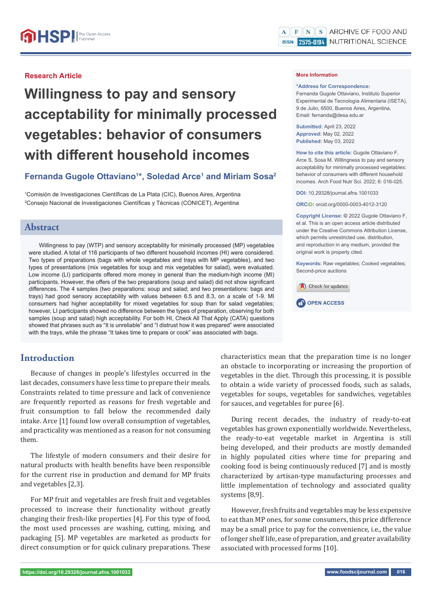## **Research Article**

# **Willingness to pay and sensory acceptability for minimally processed vegetables: behavior of consumers**  with different household incomes

# Fernanda Gugole Ottaviano<sup>1\*</sup>, Soledad Arce<sup>1</sup> and Miriam Sosa<sup>2</sup>

<sup>1</sup>Comisión de Investigaciones Científicas de La Plata (CIC), Buenos Aires, Argentina <sup>2</sup>Consejo Nacional de Investigaciones Científicas y Técnicas (CONICET), Argentina

## **Abstract**

Willingness to pay (WTP) and sensory acceptability for minimally processed (MP) vegetables were studied. A total of 116 participants of two different household incomes (HI) were considered. Two types of preparations (bags with whole vegetables and trays with MP vegetables), and two types of presentations (mix vegetables for soup and mix vegetables for salad), were evaluated. Low income (LI) participants offered more money in general than the medium-high income (MI) participants. However, the offers of the two preparations (soup and salad) did not show significant differences. The 4 samples (two preparations: soup and salad; and two presentations: bags and trays) had good sensory acceptability with values between 6.5 and 8.3, on a scale of 1-9. MI consumers had higher acceptability for mixed vegetables for soup than for salad vegetables; however, LI participants showed no difference between the types of preparation, observing for both samples (soup and salad) high acceptability. For both HI, Check All That Apply (CATA) questions showed that phrases such as "It is unreliable" and "I distrust how it was prepared" were associated with the trays, while the phrase "It takes time to prepare or cook" was associated with bags.

## **Introduction**

Because of changes in people's lifestyles occurred in the last decades, consumers have less time to prepare their meals. Constraints related to time pressure and lack of convenience are frequently reported as reasons for fresh vegetable and fruit consumption to fall below the recommended daily intake. Arce [1] found low overall consumption of vegetables, and practicality was mentioned as a reason for not consuming them.

The lifestyle of modern consumers and their desire for natural products with health benefits have been responsible for the current rise in production and demand for MP fruits and vegetables [2,3].

For MP fruit and vegetables are fresh fruit and vegetables processed to increase their functionality without greatly changing their fresh-like properties [4]. For this type of food, the most used processes are washing, cutting, mixing, and packaging [5]. MP vegetables are marketed as products for direct consumption or for quick culinary preparations. These

#### **More Information**

#### **\*Address for Correspondence:**

Fernanda Gugole Ottaviano, Instituto Superior Experimental de Tecnología Alimentaria (ISETA), 9 de Julio, 6500, Buenos Aires, Argentina, Email: fernanda@desa.edu.ar

**Submitted:** April 23, 2022 **Approved:** May 02, 2022 **Published:** May 03, 2022

**How to cite this article:** Gugole Ottaviano F, Arce S, Sosa M. Willingness to pay and sensory acceptability for minimally processed vegetables: behavior of consumers with different household incomes. Arch Food Nutr Sci. 2022; 6: 016-025.

**DOI:** 10.29328/journal.afns.1001033

**ORCiD:** orcid.org/0000-0003-4012-3120

**Copyright License: ©** 2022 Gugole Ottaviano F, et al. This is an open access article distributed under the Creative Commons Attribution License, which permits unrestricted use, distribution, and reproduction in any medium, provided the original work is properly cited.

**Keywords:** Raw vegetables; Cooked vegetables; Second-price auctions





characteristics mean that the preparation time is no longer an obstacle to incorporating or increasing the proportion of vegetables in the diet. Through this processing, it is possible to obtain a wide variety of processed foods, such as salads, vegetables for soups, vegetables for sandwiches, vegetables for sauces, and vegetables for puree [6].

During recent decades, the industry of ready-to-eat vegetables has grown exponentially worldwide. Nevertheless, the ready-to-eat vegetable market in Argentina is still being developed, and their products are mostly demanded in highly populated cities where time for preparing and cooking food is being continuously reduced [7] and is mostly characterized by artisan-type manufacturing processes and little implementation of technology and associated quality systems [8,9].

However, fresh fruits and vegetables may be less expensive to eat than MP ones, for some consumers, this price difference may be a small price to pay for the convenience, i.e., the value of longer shelf life, ease of preparation, and greater availability associated with processed forms [10].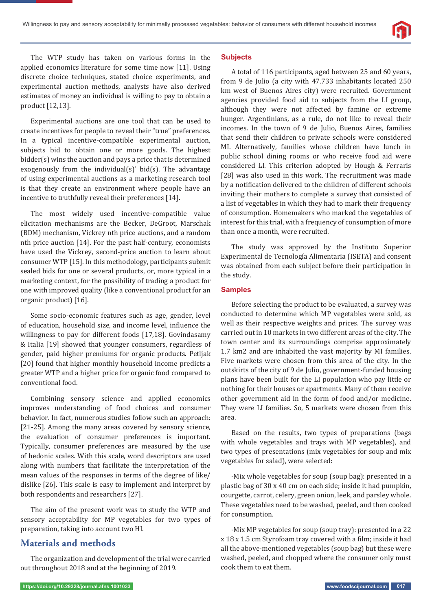

The WTP study has taken on various forms in the applied economics literature for some time now [11]. Using discrete choice techniques, stated choice experiments, and experimental auction methods, analysts have also derived estimates of money an individual is willing to pay to obtain a product [12,13].

Experimental auctions are one tool that can be used to create incentives for people to reveal their "true" preferences. In a typical incentive-compatible experimental auction, subjects bid to obtain one or more goods. The highest bidder(s) wins the auction and pays a price that is determined exogenously from the individual(s)' bid(s). The advantage of using experimental auctions as a marketing research tool is that they create an environment where people have an incentive to truthfully reveal their preferences [14].

The most widely used incentive-compatible value elicitation mechanisms are the Becker, DeGroot, Marschak (BDM) mechanism, Vickrey nth price auctions, and a random nth price auction [14]. For the past half-century, economists have used the Vickrey, second-price auction to learn about consumer WTP [15]. In this methodology, participants submit sealed bids for one or several products, or, more typical in a marketing context, for the possibility of trading a product for one with improved quality (like a conventional product for an organic product) [16].

Some socio-economic features such as age, gender, level of education, household size, and income level, influence the willingness to pay for different foods [17,18]. Govindasamy & Italia [19] showed that younger consumers, regardless of gender, paid higher premiums for organic products. Petljak [20] found that higher monthly household income predicts a greater WTP and a higher price for organic food compared to conventional food.

Combining sensory science and applied economics improves understanding of food choices and consumer behavior. In fact, numerous studies follow such an approach: [21-25]. Among the many areas covered by sensory science, the evaluation of consumer preferences is important. Typically, consumer preferences are measured by the use of hedonic scales. With this scale, word descriptors are used along with numbers that facilitate the interpretation of the mean values of the responses in terms of the degree of like/ dislike [26]. This scale is easy to implement and interpret by both respondents and researchers [27].

The aim of the present work was to study the WTP and sensory acceptability for MP vegetables for two types of preparation, taking into account two HI.

## **Materials and methods**

The organization and development of the trial were carried out throughout 2018 and at the beginning of 2019.

#### **Subjects**

A total of 116 participants, aged between 25 and 60 years, from 9 de Julio (a city with 47.733 inhabitants located 250 km west of Buenos Aires city) were recruited. Government agencies provided food aid to subjects from the LI group, although they were not affected by famine or extreme hunger. Argentinians, as a rule, do not like to reveal their incomes. In the town of 9 de Julio, Buenos Aires, families that send their children to private schools were considered MI. Alternatively, families whose children have lunch in public school dining rooms or who receive food aid were considered LI. This criterion adopted by Hough & Ferraris [28] was also used in this work. The recruitment was made by a notification delivered to the children of different schools inviting their mothers to complete a survey that consisted of a list of vegetables in which they had to mark their frequency of consumption. Homemakers who marked the vegetables of interest for this trial, with a frequency of consumption of more than once a month, were recruited.

The study was approved by the Instituto Superior Experimental de Tecnología Alimentaria (ISETA) and consent was obtained from each subject before their participation in the study.

### **Samples**

Before selecting the product to be evaluated, a survey was conducted to determine which MP vegetables were sold, as well as their respective weights and prices. The survey was carried out in 10 markets in two different areas of the city. The town center and its surroundings comprise approximately 1.7 km2 and are inhabited the vast majority by MI families. Five markets were chosen from this area of the city. In the outskirts of the city of 9 de Julio, government-funded housing plans have been built for the LI population who pay little or nothing for their houses or apartments. Many of them receive other government aid in the form of food and/or medicine. They were LI families. So, 5 markets were chosen from this area.

Based on the results, two types of preparations (bags with whole vegetables and trays with MP vegetables), and two types of presentations (mix vegetables for soup and mix vegetables for salad), were selected:

-Mix whole vegetables for soup (soup bag): presented in a plastic bag of 30 x 40 cm on each side; inside it had pumpkin, courgette, carrot, celery, green onion, leek, and parsley whole. These vegetables need to be washed, peeled, and then cooked for consumption.

-Mix MP vegetables for soup (soup tray): presented in a 22 x 18 x 1.5 cm Styrofoam tray covered with a film; inside it had all the above-mentioned vegetables (soup bag) but these were washed, peeled, and chopped where the consumer only must cook them to eat them.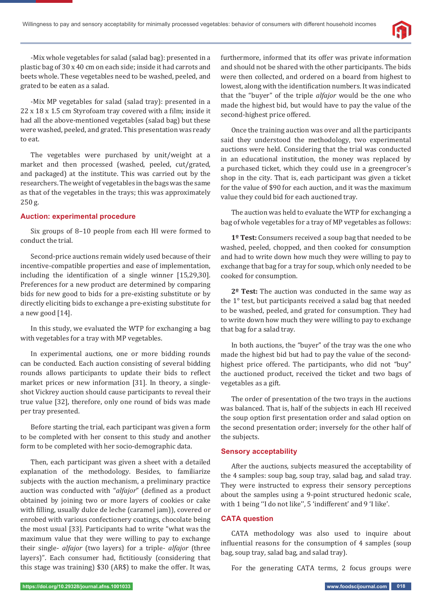

-Mix whole vegetables for salad (salad bag): presented in a plastic bag of 30 x 40 cm on each side; inside it had carrots and beets whole. These vegetables need to be washed, peeled, and grated to be eaten as a salad.

-Mix MP vegetables for salad (salad tray): presented in a  $22 \times 18 \times 1.5$  cm Styrofoam tray covered with a film; inside it had all the above-mentioned vegetables (salad bag) but these were washed, peeled, and grated. This presentation was ready to eat.

The vegetables were purchased by unit/weight at a market and then processed (washed, peeled, cut/grated, and packaged) at the institute. This was carried out by the researchers. The weight of vegetables in the bags was the same as that of the vegetables in the trays; this was approximately 250 g.

#### **Auction: experimental procedure**

Six groups of 8–10 people from each HI were formed to conduct the trial.

Second-price auctions remain widely used because of their incentive-compatible properties and ease of implementation, including the identification of a single winner  $[15,29,30]$ . Preferences for a new product are determined by comparing bids for new good to bids for a pre-existing substitute or by directly eliciting bids to exchange a pre-existing substitute for a new good [14].

In this study, we evaluated the WTP for exchanging a bag with vegetables for a tray with MP vegetables.

In experimental auctions, one or more bidding rounds can be conducted. Each auction consisting of several bidding rounds allows participants to update their bids to reflect market prices or new information [31]. In theory, a singleshot Vickrey auction should cause participants to reveal their true value [32], therefore, only one round of bids was made per tray presented.

Before starting the trial, each participant was given a form to be completed with her consent to this study and another form to be completed with her socio-demographic data.

Then, each participant was given a sheet with a detailed explanation of the methodology. Besides, to familiarize subjects with the auction mechanism, a preliminary practice auction was conducted with "*alfajor*" (defined as a product obtained by joining two or more layers of cookies or cake with filling, usually dulce de leche (caramel jam)), covered or enrobed with various confectionery coatings, chocolate being the most usual [33]. Participants had to write "what was the maximum value that they were willing to pay to exchange their single- *alfajor* (two layers) for a triple- *alfajor* (three layers)". Each consumer had, fictitiously (considering that this stage was training) \$30 (AR\$) to make the offer. It was,

furthermore, informed that its offer was private information and should not be shared with the other participants. The bids were then collected, and ordered on a board from highest to lowest, along with the identification numbers. It was indicated that the "buyer" of the triple *alfajor* would be the one who made the highest bid, but would have to pay the value of the second-highest price offered.

Once the training auction was over and all the participants said they understood the methodology, two experimental auctions were held. Considering that the trial was conducted in an educational institution, the money was replaced by a purchased ticket, which they could use in a greengrocer's shop in the city. That is, each participant was given a ticket for the value of \$90 for each auction, and it was the maximum value they could bid for each auctioned tray.

The auction was held to evaluate the WTP for exchanging a bag of whole vegetables for a tray of MP vegetables as follows:

**1º Test:** Consumers received a soup bag that needed to be washed, peeled, chopped, and then cooked for consumption and had to write down how much they were willing to pay to exchange that bag for a tray for soup, which only needed to be cooked for consumption.

**2º Test:** The auction was conducted in the same way as the 1° test, but participants received a salad bag that needed to be washed, peeled, and grated for consumption. They had to write down how much they were willing to pay to exchange that bag for a salad tray.

In both auctions, the "buyer" of the tray was the one who made the highest bid but had to pay the value of the secondhighest price offered. The participants, who did not "buy" the auctioned product, received the ticket and two bags of vegetables as a gift.

The order of presentation of the two trays in the auctions was balanced. That is, half of the subjects in each HI received the soup option first presentation order and salad option on the second presentation order; inversely for the other half of the subjects.

## **Sensory acceptability**

After the auctions, subjects measured the acceptability of the 4 samples: soup bag, soup tray, salad bag, and salad tray. They were instructed to express their sensory perceptions about the samples using a 9-point structured hedonic scale, with 1 being ''I do not like'', 5 'indifferent' and 9 'I like'.

#### **CATA question**

CATA methodology was also used to inquire about influential reasons for the consumption of 4 samples (soup bag, soup tray, salad bag, and salad tray).

For the generating CATA terms, 2 focus groups were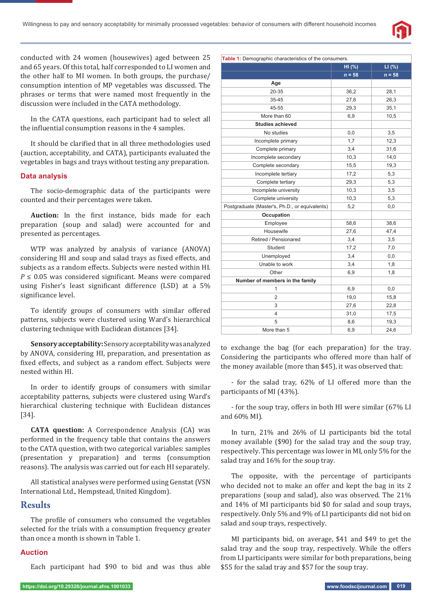

conducted with 24 women (housewives) aged between 25 and 65 years. Of this total, half corresponded to LI women and the other half to MI women. In both groups, the purchase/ consumption intention of MP vegetables was discussed. The phrases or terms that were named most frequently in the discussion were included in the CATA methodology.

In the CATA questions, each participant had to select all the influential consumption reasons in the 4 samples.

It should be clarified that in all three methodologies used (auction, acceptability, and CATA), participants evaluated the vegetables in bags and trays without testing any preparation.

#### **Data analysis**

The socio-demographic data of the participants were counted and their percentages were taken.

Auction: In the first instance, bids made for each preparation (soup and salad) were accounted for and presented as percentages.

WTP was analyzed by analysis of variance (ANOVA) considering HI and soup and salad trays as fixed effects, and subjects as a random effects. Subjects were nested within HI.  $P \le 0.05$  was considered significant. Means were compared using Fisher's least significant difference (LSD) at a 5% significance level.

To identify groups of consumers with similar offered patterns, subjects were clustered using Ward's hierarchical clustering technique with Euclidean distances [34].

**Sensory acceptability:** Sensory acceptability was analyzed by ANOVA, considering HI, preparation, and presentation as fixed effects, and subject as a random effect. Subjects were nested within HI.

In order to identify groups of consumers with similar acceptability patterns, subjects were clustered using Ward's hierarchical clustering technique with Euclidean distances [34].

**CATA question:** A Correspondence Analysis (CA) was performed in the frequency table that contains the answers to the CATA question, with two categorical variables: samples (presentation y preparation) and terms (consumption reasons). The analysis was carried out for each HI separately.

All statistical analyses were performed using Genstat (VSN International Ltd., Hempstead, United Kingdom).

## **Results**

The profile of consumers who consumed the vegetables selected for the trials with a consumption frequency greater than once a month is shown in Table 1.

#### **Auction**

Each participant had \$90 to bid and was thus able

| Table 1: Demographic characteristics of the consumers. |          |          |
|--------------------------------------------------------|----------|----------|
|                                                        | HI (%)   | LI(% )   |
|                                                        | $n = 58$ | $n = 58$ |
| Age                                                    |          |          |
| 20-35                                                  | 36,2     | 28,1     |
| 35-45                                                  | 27,6     | 26,3     |
| 45-55                                                  | 29,3     | 35,1     |
| More than 60                                           | 6,9      | 10,5     |
| <b>Studies achieved</b>                                |          |          |
| No studies                                             | 0,0      | 3,5      |
| Incomplete primary                                     | 1,7      | 12,3     |
| Complete primary                                       | 3,4      | 31,6     |
| Incomplete secondary                                   | 10,3     | 14,0     |
| Complete secondary                                     | 15,5     | 19,3     |
| Incomplete tertiary                                    | 17,2     | 5,3      |
| Complete tertiary                                      | 29,3     | 5,3      |
| Incomplete university                                  | 10,3     | 3,5      |
| Complete university                                    | 10,3     | 5,3      |
| Postgraduate (Master's, Ph.D., or equivalents)         | 5,2      | 0,0      |
| Occupation                                             |          |          |
| Employee                                               | 58,6     | 38,6     |
| Housewife                                              | 27,6     | 47,4     |
| Retired / Pensionared                                  | 3,4      | 3,5      |
| Student                                                | 17,2     | 7,0      |
| Unemployed                                             | 3,4      | 0,0      |
| Unable to work                                         | 3,4      | 1,8      |
| Other                                                  | 6,9      | 1,8      |
| Number of members in the family                        |          |          |
| 1                                                      | 6,9      | 0,0      |
| 2                                                      | 19,0     | 15,8     |
| 3                                                      | 27,6     | 22,8     |
| 4                                                      | 31,0     | 17,5     |
| 5                                                      | 8,6      | 19,3     |
| More than 5                                            | 6,9      | 24,6     |

to exchange the bag (for each preparation) for the tray. Considering the participants who offered more than half of the money available (more than \$45), it was observed that:

- for the salad tray, 62% of LI offered more than the participants of MI (43%).

- for the soup tray, offers in both HI were similar (67% LI and 60% MI).

In turn, 21% and 26% of LI participants bid the total money available (\$90) for the salad tray and the soup tray, respectively. This percentage was lower in MI, only 5% for the salad tray and 16% for the soup tray.

The opposite, with the percentage of participants who decided not to make an offer and kept the bag in its 2 preparations (soup and salad), also was observed. The 21% and 14% of MI participants bid \$0 for salad and soup trays, respectively. Only 5% and 9% of LI participants did not bid on salad and soup trays, respectively.

MI participants bid, on average, \$41 and \$49 to get the salad tray and the soup tray, respectively. While the offers from LI participants were similar for both preparations, being \$55 for the salad tray and \$57 for the soup tray.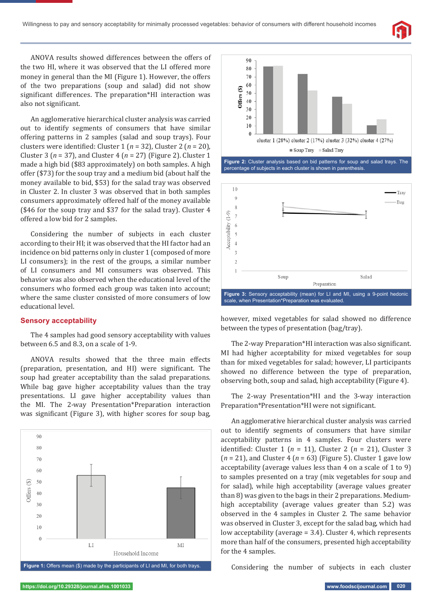

ANOVA results showed differences between the offers of the two HI, where it was observed that the LI offered more money in general than the MI (Figure 1). However, the offers of the two preparations (soup and salad) did not show significant differences. The preparation\*HI interaction was also not significant.

An agglomerative hierarchical cluster analysis was carried out to identify segments of consumers that have similar offering patterns in 2 samples (salad and soup trays). Four clusters were identified: Cluster 1 ( $n = 32$ ), Cluster 2 ( $n = 20$ ), Cluster 3 (*n* = 37), and Cluster 4 (*n* = 27) (Figure 2). Cluster 1 made a high bid (\$83 approximately) on both samples. A high offer (\$73) for the soup tray and a medium bid (about half the money available to bid, \$53) for the salad tray was observed in Cluster 2. In cluster 3 was observed that in both samples consumers approximately offered half of the money available (\$46 for the soup tray and \$37 for the salad tray). Cluster 4 offered a low bid for 2 samples.

Considering the number of subjects in each cluster according to their HI; it was observed that the HI factor had an incidence on bid patterns only in cluster 1 (composed of more LI consumers); in the rest of the groups, a similar number of LI consumers and MI consumers was observed. This behavior was also observed when the educational level of the consumers who formed each group was taken into account; where the same cluster consisted of more consumers of low educational level.

#### **Sensory acceptability**

The 4 samples had good sensory acceptability with values between 6.5 and 8.3, on a scale of 1-9.

ANOVA results showed that the three main effects (preparation, presentation, and HI) were significant. The soup had greater acceptability than the salad preparations. While bag gave higher acceptability values than the tray presentations. LI gave higher acceptability values than the MI. The 2-way Presentation\*Preparation interaction was significant (Figure 3), with higher scores for soup bag,





percentage of subjects in each cluster is shown in parenthesis.



however, mixed vegetables for salad showed no difference between the types of presentation (bag/tray).

The 2-way Preparation\*HI interaction was also significant. MI had higher acceptability for mixed vegetables for soup than for mixed vegetables for salad; however, LI participants showed no difference between the type of preparation, observing both, soup and salad, high acceptability (Figure 4).

The 2-way Presentation\*HI and the 3-way interaction Preparation\*Presentation\*HI were not significant.

An agglomerative hierarchical cluster analysis was carried out to identify segments of consumers that have similar acceptability patterns in 4 samples. Four clusters were identified: Cluster 1 ( $n = 11$ ), Cluster 2 ( $n = 21$ ), Cluster 3 (*n* = 21), and Cluster 4 (*n* = 63) (Figure 5). Cluster 1 gave low acceptability (average values less than 4 on a scale of 1 to 9) to samples presented on a tray (mix vegetables for soup and for salad), while high acceptability (average values greater than 8) was given to the bags in their 2 preparations. Mediumhigh acceptability (average values greater than 5.2) was observed in the 4 samples in Cluster 2. The same behavior was observed in Cluster 3, except for the salad bag, which had low acceptability (average = 3.4). Cluster 4, which represents more than half of the consumers, presented high acceptability for the 4 samples.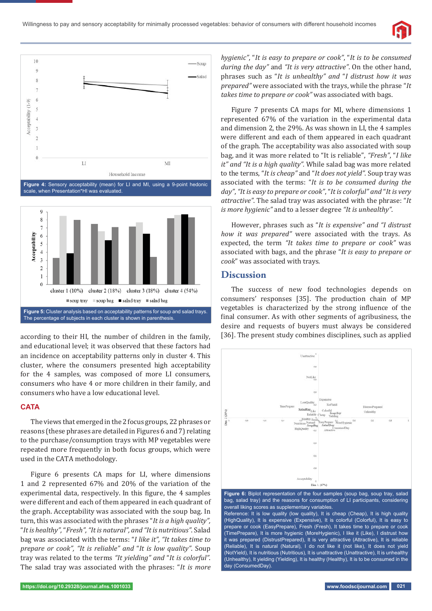





according to their HI, the number of children in the family, and educational level; it was observed that these factors had an incidence on acceptability patterns only in cluster 4. This cluster, where the consumers presented high acceptability for the 4 samples, was composed of more LI consumers, consumers who have 4 or more children in their family, and consumers who have a low educational level.

#### **CATA**

The views that emerged in the 2 focus groups, 22 phrases or reasons (these phrases are detailed in Figures 6 and 7) relating to the purchase/consumption trays with MP vegetables were repeated more frequently in both focus groups, which were used in the CATA methodology.

Figure 6 presents CA maps for LI, where dimensions 1 and 2 represented 67% and 20% of the variation of the experimental data, respectively. In this figure, the 4 samples were different and each of them appeared in each quadrant of the graph. Acceptability was associated with the soup bag. In turn, this was associated with the phrases "*It is a high quality",*  "*It is healthy",* "*Fresh", "It is natural", and "It is nutritious"*. Salad bag was associated with the terms: "*I like it", "It takes time to prepare or cook", "It is reliable" and* "*It is low quality"*. Soup tray was related to the terms *"It yielding" and* "*It is colorful"*. The salad tray was associated with the phrases: "*It is more* 

*hygienic"*, "*It is easy to prepare or cook"*, "*It is to be consumed during the day"* and *"It is very attractive"*. On the other hand, phrases such as "*It is unhealthy" and* "*I distrust how it was prepared"* were associated with the trays, while the phrase "*It takes time to prepare or cook"* was associated with bags.

Figure 7 presents CA maps for MI, where dimensions 1 represented 67% of the variation in the experimental data and dimension 2, the 29%. As was shown in LI, the 4 samples were different and each of them appeared in each quadrant of the graph. The acceptability was also associated with soup bag, and it was more related to "It is reliable", *"Fresh"*, "*I like it" and "It is a high quality".* While salad bag was more related to the terms, "*It is cheap"* and "*It does not yield"*. Soup tray was associated with the terms: "*It is to be consumed during the day"*, *"It is easy to prepare or cook"*, "*It is colorful" and* "*It is very attractive"*. The salad tray was associated with the phrase: "*It is more hygienic"* and to a lesser degree *"It is unhealthy"*.

However, phrases such as "*It is expensive" and "I distrust how it was prepared"* were associated with the trays. As expected, the term *"It takes time to prepare or cook"* was associated with bags, and the phrase "*It is easy to prepare or cook*" was associated with trays.

## **Discussion**

The success of new food technologies depends on consumers' responses [35]. The production chain of MP vegetables is characterized by the strong influence of the final consumer. As with other segments of agribusiness, the desire and requests of buyers must always be considered [36]. The present study combines disciplines, such as applied



**Figure 6:** Biplot representation of the four samples (soup bag, soup tray, salad bag, salad tray) and the reasons for consumption of LI participants, considering overall liking scores as supplementary variables. Reference: It is low quality (low quality), It is cheap (Cheap), It is high quality (HighQuality), It is expensive (Expensive), It is colorful (Colorful), It is easy to prepare or cook (EasyPrepare), Fresh (Fresh), It takes time to prepare or cook (TimePrepare), It is more hygienic (MoreHygienic), I like it (Like), I distrust how it was prepared (DistrustPrepared), It is very attractive (Attractive), It is reliable (Reliable), It is natural (Natural), I do not like it (not like), It does not yield (NotYield), It is nutritious (Nutritious), It is unattractive (Unattractive), It is unhealthy (Unhealthy), It yielding (Yielding), It is healthy (Healthy), It is to be consumed in the day (ConsumedDay).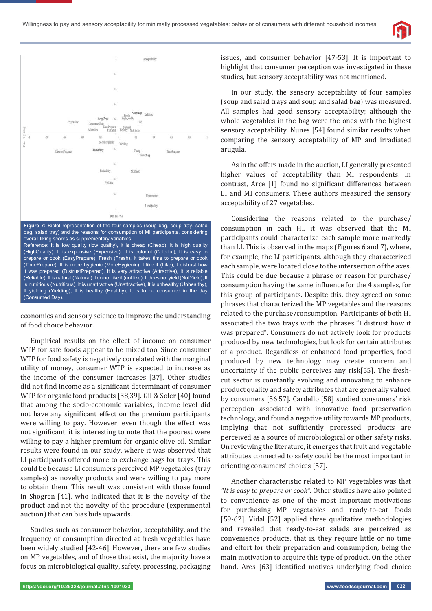



economics and sensory science to improve the understanding of food choice behavior.

Empirical results on the effect of income on consumer WTP for safe foods appear to be mixed too. Since consumer WTP for food safety is negatively correlated with the marginal utility of money, consumer WTP is expected to increase as the income of the consumer increases [37]. Other studies did not find income as a significant determinant of consumer WTP for organic food products [38,39]. Gil & Soler [40] found that among the socio-economic variables, income level did not have any significant effect on the premium participants were willing to pay. However, even though the effect was not significant, it is interesting to note that the poorest were willing to pay a higher premium for organic olive oil. Similar results were found in our study, where it was observed that LI participants offered more to exchange bags for trays. This could be because LI consumers perceived MP vegetables (tray samples) as novelty products and were willing to pay more to obtain them. This result was consistent with those found in Shogren [41], who indicated that it is the novelty of the product and not the novelty of the procedure (experimental auction) that can bias bids upwards.

Studies such as consumer behavior, acceptability, and the frequency of consumption directed at fresh vegetables have been widely studied [42-46]. However, there are few studies on MP vegetables, and of those that exist, the majority have a focus on microbiological quality, safety, processing, packaging issues, and consumer behavior [47-53]. It is important to highlight that consumer perception was investigated in these studies, but sensory acceptability was not mentioned.

In our study, the sensory acceptability of four samples (soup and salad trays and soup and salad bag) was measured. All samples had good sensory acceptability; although the whole vegetables in the bag were the ones with the highest sensory acceptability. Nunes [54] found similar results when comparing the sensory acceptability of MP and irradiated arugula.

As in the offers made in the auction, LI generally presented higher values of acceptability than MI respondents. In contrast, Arce [1] found no significant differences between LI and MI consumers. These authors measured the sensory acceptability of 27 vegetables.

Considering the reasons related to the purchase/ consumption in each HI, it was observed that the MI participants could characterize each sample more markedly than LI. This is observed in the maps (Figures 6 and 7), where, for example, the LI participants, although they characterized each sample, were located close to the intersection of the axes. This could be due because a phrase or reason for purchase/ consumption having the same influence for the 4 samples, for this group of participants. Despite this, they agreed on some phrases that characterized the MP vegetables and the reasons related to the purchase/consumption. Participants of both HI associated the two trays with the phrases "I distrust how it was prepared". Consumers do not actively look for products produced by new technologies, but look for certain attributes of a product. Regardless of enhanced food properties, food produced by new technology may create concern and uncertainty if the public perceives any risk $[55]$ . The freshcut sector is constantly evolving and innovating to enhance product quality and safety attributes that are generally valued by consumers [56,57]. Cardello [58] studied consumers' risk perception associated with innovative food preservation technology, and found a negative utility towards MP products, implying that not sufficiently processed products are perceived as a source of microbiological or other safety risks. On reviewing the literature, it emerges that fruit and vegetable attributes connected to safety could be the most important in orienting consumers' choices [57].

Another characteristic related to MP vegetables was that *"It is easy to prepare or cook".* Other studies have also pointed to convenience as one of the most important motivations for purchasing MP vegetables and ready-to-eat foods [59-62]. Vidal [52] applied three qualitative methodologies and revealed that ready-to-eat salads are perceived as convenience products, that is, they require little or no time and effort for their preparation and consumption, being the main motivation to acquire this type of product. On the other hand, Ares [63] identified motives underlying food choice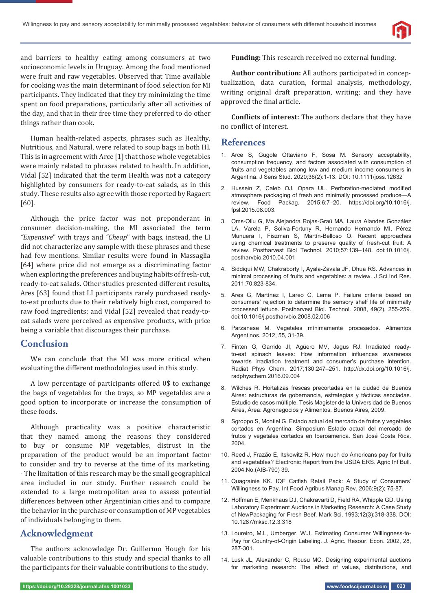

and barriers to healthy eating among consumers at two socioeconomic levels in Uruguay. Among the food mentioned were fruit and raw vegetables. Observed that Time available for cooking was the main determinant of food selection for MI participants. They indicated that they try minimizing the time spent on food preparations, particularly after all activities of the day, and that in their free time they preferred to do other things rather than cook.

Human health-related aspects, phrases such as Healthy, Nutritious, and Natural, were related to soup bags in both HI. This is in agreement with Arce [1] that those whole vegetables were mainly related to phrases related to health. In addition, Vidal [52] indicated that the term Health was not a category highlighted by consumers for ready-to-eat salads, as in this study. These results also agree with those reported by Ragaert [60].

Although the price factor was not preponderant in consumer decision-making, the MI associated the term *"Expensive*" with trays and *"Cheap*" with bags, instead, the LI did not characterize any sample with these phrases and these had few mentions. Similar results were found in Massaglia [64] where price did not emerge as a discriminating factor when exploring the preferences and buying habits of fresh-cut, ready-to-eat salads. Other studies presented different results, Ares [63] found that LI participants rarely purchased readyto-eat products due to their relatively high cost, compared to raw food ingredients; and Vidal [52] revealed that ready-toeat salads were perceived as expensive products, with price being a variable that discourages their purchase.

## **Conclusion**

We can conclude that the MI was more critical when evaluating the different methodologies used in this study.

A low percentage of participants offered 0\$ to exchange the bags of vegetables for the trays, so MP vegetables are a good option to incorporate or increase the consumption of these foods.

Although practicality was a positive characteristic that they named among the reasons they considered to buy or consume MP vegetables, distrust in the preparation of the product would be an important factor to consider and try to reverse at the time of its marketing. - The limitation of this research may be the small geographical area included in our study. Further research could be extended to a large metropolitan area to assess potential differences between other Argentinian cities and to compare the behavior in the purchase or consumption of MP vegetables of individuals belonging to them.

# **Acknowledgment**

The authors acknowledge Dr. Guillermo Hough for his valuable contributions to this study and special thanks to all the participants for their valuable contributions to the study.

**Funding:** This research received no external funding.

**Author contribution:** All authors participated in conceptualization, data curation, formal analysis, methodology, writing original draft preparation, writing; and they have approved the final article.

**Conflicts of interest:** The authors declare that they have no conflict of interest.

## **References**

- 1. Arce S, Gugole Ottaviano F, Sosa M. Sensory acceptability, consumption frequency, and factors associated with consumption of fruits and vegetables among low and medium income consumers in Argentina. J Sens Stud. 2020;36(2):1-13. DOI: 10.1111/joss.12632
- 2. Hussein Z, Caleb OJ, Opara UL. Perforation-mediated modified atmosphere packaging of fresh and minimally processed produce—A review. Food Packag. 2015;6:7–20. https://doi.org/10.1016/j. fpsl.2015.08.003.
- 3. Oms-Oliu G, Ma Alejandra Rojas-Graü MA, Laura Alandes González LA, Varela P, Soliva-Fortuny R, Hernando Hernando MI, Pérez Munuera I, Fiszman S, Martín-Belloso O. Recent approaches using chemical treatments to preserve quality of fresh-cut fruit: A review. Postharvest Biol Technol. 2010;57:139–148. doi:10.1016/j. postharvbio.2010.04.001
- 4. Siddiqui MW, Chakraborty I, Ayala-Zavala JF, Dhua RS. Advances in minimal processing of fruits and vegetables: a review. J Sci Ind Res. 2011;70:823-834.
- 5. Ares G, Martínez I, Lareo C, Lema P. Failure criteria based on consumers' rejection to determine the sensory shelf life of minimally processed lettuce. Postharvest Biol. Technol. 2008, 49(2), 255-259. doi:10.1016/j.postharvbio.2008.02.006
- 6. Parzanese M. Vegetales mínimamente procesados. Alimentos Argentinos, 2012, 55, 31-39.
- 7. Finten G, Garrido JI, Agüero MV, Jagus RJ. Irradiated readyto-eat spinach leaves: How information influences awareness towards irradiation treatment and consumer's purchase intention. Radiat Phys Chem. 2017;130:247–251. http://dx.doi.org/10.1016/j. radphyschem.2016.09.004
- 8. Wilches R. Hortalizas frescas precortadas en la ciudad de Buenos Aires: estructuras de gobernancia, estrategias y tácticas asociadas. Estudio de casos múltiple. Tesis Magister de la Universidad de Buenos Aires, Área: Agronegocios y Alimentos. Buenos Aires, 2009.
- 9. Sgroppo S, Montiel G. Estado actual del mercado de frutos y vegetales cortados en Argentina. Simposium Estado actual del mercado de frutos y vegetales cortados en Iberoamerica. San José Costa Rica. 2004.
- 10. Reed J, Frazão E, Itskowitz R. How much do Americans pay for fruits and vegetables? Electronic Report from the USDA ERS. Agric Inf Bull. 2004;No.(AIB-790) 39.
- 11. Quagrainie KK. IQF Catfish Retail Pack: A Study of Consumers' Willingness to Pay. Int Food Agribus Manag Rev. 2006;9(2); 75-87.
- 12. Hoffman E, Menkhaus DJ, Chakravarti D, Field RA, Whipple GD. Using Laboratory Experiment Auctions in Marketing Research: A Case Study of NewPackaging for Fresh Beef. Mark Sci. 1993;12(3);318-338. DOI: 10.1287/mksc.12.3.318
- 13. Loureiro, M.L, Umberger, W.J. Estimating Consumer Willingness-to-Pay for Country-of-Origin Labeling. J. Agric. Resour. Econ. 2002, 28, 287-301.
- 14. Lusk JL, Alexander C, Rousu MC. Designing experimental auctions for marketing research: The effect of values, distributions, and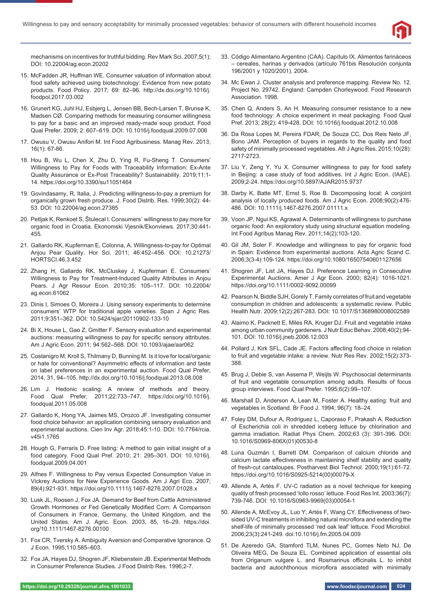

mechanisms on incentives for truthful bidding. Rev Mark Sci. 2007;5(1); DOI: 10.22004/ag.econ.20202

- 15. McFadden JR, Huffman WE. Consumer valuation of information about food safety achieved using biotechnology: Evidence from new potato products. Food Policy. 2017; 69: 82–96. http://dx.doi.org/10.1016/j. foodpol.2017.03.002
- 16. Grunert KG, Juhl HJ, Esbjerg L, Jensen BB, Bech-Larsen T, Brunsø K, Madsen CØ. Comparing methods for measuring consumer willingness to pay for a basic and an improved ready-made soup product. Food Qual Prefer. 2009; 2: 607–619. DOI: 10.1016/j.foodqual.2009.07.006
- 17. Owusu V, Owusu Anifori M. Int Food Agribusiness. Manag Rev. 2013; 16(1): 67-86.
- 18. Hou B, Wu L, Chen X, Zhu D, Ying R, Fu-Sheng T. Consumers' Willingness to Pay for Foods with Traceability Information: Ex-Ante Quality Assurance or Ex-Post Traceability? Sustainability. 2019;11:1- 14. https://doi.org/10.3390/su11051464
- 19. Govindasamy, R, Italia, J. Predicting willingness-to-pay a premium for organically grown fresh produce. J. Food Distrib. Res. 1999;30(2): 44- 53. DOI: 10.22004/ag.econ.27385
- 20. Petljak K, Renkoet S, Štulecal I. Consumers` willingness to pay more for organic food in Croatia. Ekonomski Vjesnik/Ekonviews. 2017;30:441- 455.
- 21. Gallardo RK, Kupferman E, Colonna, A. Willingness-to-pay for Optimal Anjou Pear Quality. Hor Sci. 2011; 46:452-456. DOI: 10.21273/ HORTSCI.46.3.452
- 22. Zhang H, Gallardo RK, McCluskey J, Kupferman E. Consumers' Willingness to Pay for Treatment-Induced Quality Attributes in Anjou Pears. J Agr Resour Econ. 2010;35: 105-117. DOI: 10.22004/ ag.econ.61062
- 23. Dinis I, Simoes O, Moreira J. Using sensory experiments to determine consumers' WTP for traditional apple varieties. Span J Agric Res. 2011;9:351–362. DOI: 10.5424/sjar/20110902-133-10
- 24. Bi X, House L, Gao Z, Gmitter F. Sensory evaluation and experimental auctions: measuring willingness to pay for specific sensory attributes. Am J Agric Econ. 2011; 94:562-568. DOI: 10.1093/ajae/aar062
- 25. Costanigro M, Kroll S, Thilmany D, Bunning M. Is it love for local/organic or hate for conventional? Asymmetric effects of information and taste on label preferences in an experimental auction. Food Qual Prefer, 2014, 31, 94‒105. http://dx.doi.org/10.1016/j.foodqual.2013.08.008
- 26. Lim J. Hedonic scaling: A review of methods and theory. Food Qual Prefer. 2011;22:733‒747. https://doi.org/10.1016/j. foodqual.2011.05.008
- 27. Gallardo K, Hong YA, Jaimes MS, Orozco JF. Investigating consumer food choice behavior: an application combining sensory evaluation and experimental auctions. Cien Inv Agr. 2018;45:1-10. DOI: 10.7764/rcia. v45i1.1765
- 28. Hough G, Ferraris D. Free listing: A method to gain initial insight of a food category. Food Qual Pref. 2010; 21: 295–301. DOI: 10.1016/j. foodqual.2009.04.001
- 29. Alfnes F. Willingness to Pay versus Expected Consumption Value in Vickrey Auctions for New Experience Goods. Am J Agri Eco. 2007; 89(4):921-931. https://doi.org/10.1111/j.1467-8276.2007.01028.x
- 30. Lusk JL, Roosen J, Fox JA. Demand for Beef from Cattle Administered Growth Hormones or Fed Genetically Modified Corn: A Comparison of Consumers in France, Germany, the United Kingdom, and the United States. Am J. Agric. Econ. 2003, 85, 16–29. https://doi. org/10.1111/1467-8276.00100
- 31. Fox CR, Tversky A. Ambiguity Aversion and Comparative Ignorance. Q J Econ. 1995;110:585–603.
- 32. Fox JA, Hayes DJ, Shogren JF, Kliebenstein JB. Experimental Methods in Consumer Preference Studies. J Food Distrib Res. 1996;2-7.
- 33. Código Alimentario Argentino (CAA). Capítulo IX. Alimentos farináceos – cereales, harinas y derivados (artículo 761bis Resolución conjunta 196/2001 y 1020/2001). 2004.
- 34. Mc Ewan J. Cluster analysis and preference mapping. Review No. 12. Project No. 29742. England: Campden Chorleywood. Food Research Association. 1998.
- 35. Chen Q, Anders S, An H. Measuring consumer resistance to a new food technology: A choice experiment in meat packaging. Food Qual Pref. 2013; 28(2): 419-428. DOI: 10.1016/j.foodqual.2012.10.008
- 36. Da Rosa Lopes M, Pereira FDAR, De Souza CC, Dos Reis Neto JF, Bono JAM. Perception of buyers in regards to the quality and food safety of minimally processed vegetables. Afr J Agric Res. 2015;10(28): 2717-2723.
- 37. Liu Y, Zeng Y, Yu X. Consumer willingness to pay for food safety in Beijing: a case study of food additives. Int J Agric Econ. (IAAE). 2009;2-24. https://doi.org/10.5897/AJAR2015.9737
- 38. Darby K, Batte MT, Ernst S, Roe B. Decomposing local: A conjoint analysis of locally produced foods. Am J Agric Econ. 2008;90(2):476- 486. DOI: 10.1111/j.1467-8276.2007.01111.x
- 39. Voon JP, Ngui KS, Agrawal A. Determinants of willingness to purchase organic food: An exploratory study using structural equation modeling. Int Food Agribus Manag Rev. 2011;14(2);103-120.
- 40. Gil JM, Soler F. Knowledge and willingness to pay for organic food in Spain: Evidence from experimental auctions. Acta Agric Scand C. 2006;3(3-4):109-124. https://doi.org/10.1080/16507540601127656
- 41. Shogren JF, List JA, Hayes DJ. Preference Learning in Consecutive Experimental Auctions. Amer J Agr Econ. 2000; 82(4): 1016-1021. https://doi.org/10.1111/0002-9092.00099
- 42. Pearson N, Biddle SJH, Gorely T. Family correlates of fruit and vegetable consumption in children and adolescents: a systematic review. Public Health Nutr. 2009;12(2):267-283. DOI: 10.1017/S1368980008002589
- 43. Alaimo K, Packnett E, Miles RA, Kruger DJ. Fruit and vegetable intake among urban community gardeners. J Nutr Educ Behav. 2008;40(2);94- 101. DOI: 10.1016/j.jneb.2006.12.003
- 44. Pollard J, Kirk SFL, Cade JE. Factors affecting food choice in relation to fruit and vegetable intake: a review. Nutr Res Rev. 2002;15(2):373- 388.
- 45. Brug J, Debie S, van Assema P, Weijts W. Psychosocial determinants of fruit and vegetable consumption among adults. Results of focus group interviews. Food Qual Prefer. 1995;6(2):99–107.
- 46. Marshall D, Anderson A, Lean M, Foster A. Healthy eating: fruit and vegetables in Scotland. Br Food J. 1994; 96(7): 18–24.
- 47. Foley DM, Dufour A, Rodriguez L, Caporaso F, Prakash A. Reduction of Escherichia coli in shredded iceberg lettuce by chlorination and gamma irradiation. Radiat Phys Chem. 2002;63 (3): 391-396. DOI: 10.1016/S0969-806X(01)00530-8
- 48. Luna Guzmán I, Barrett DM. Comparison of calcium chloride and calcium lactate effectiveness in maintaining shelf stability and quality of fresh-cut cantaloupes. Postharvest Biol Technol. 2000;19(1):61-72. https://doi.org/10.1016/S0925-5214(00)00079-X
- 49. Allende A, Artés F. UV-C radiation as a novel technique for keeping quality of fresh processed 'lollo rosso' lettuce. Food Res Int. 2003;36(7): 739-746. DOI: 10.1016/S0963-9969(03)00054-1
- 50. Allende A, McEvoy JL, Luo Y, Artés F, Wang CY. Effectiveness of twosided UV-C treatments in inhibiting natural microflora and extending the shelf-life of minimally processed 'red oak leaf' lettuce. Food Microbiol. 2006;23(3):241-249. doi:10.1016/j.fm.2005.04.009
- 51. De Azeredo GA, Stamford TLM, Nunes PC, Gomes Neto NJ, De Oliveira MEG, De Souza EL. Combined application of essential oils from Origanum vulgare L. and Rosmarinus officinalis L. to inhibit bacteria and autochthonous microflora associated with minimally